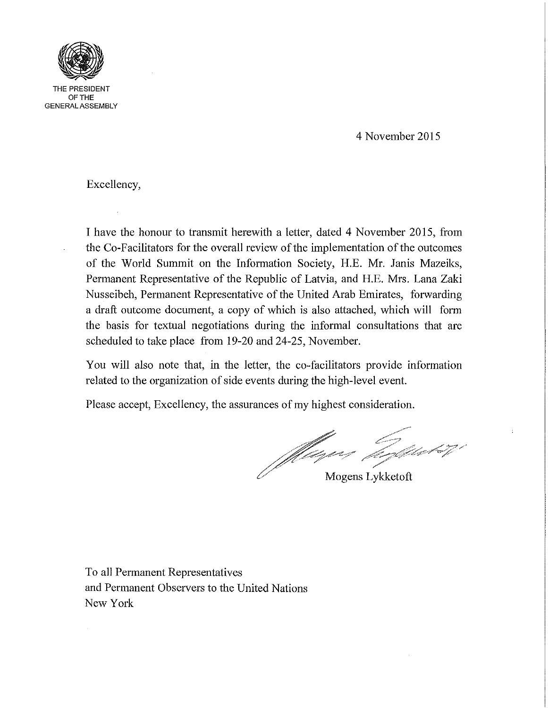

THE PRESIDENT OFTHE GENERAL ASSEMBLY

4 November 2015

Excellency,

I have the honour to transmit herewith a letter, dated 4 November 2015, from the Co-Facilitators for the overall review of the implementation of the outcomes of the World Summit on the Information Society, H.E. Mr. Janis Mazeiks, Permanent Representative of the Republic of Latvia, and H.E. Mrs. Lana Zaki Nusseibeh, Permanent Representative of the United Arab Emirates, forwarding a draft outcome document, a copy of which is also attached, which will form the basis for textual negotiations during the informal consultations that are scheduled to take place from 19-20 and 24-25, November.

You will also note that, in the letter, the co-facilitators provide information related to the organization of side events during the high-level event.

Please accept, Excellency, the assurances of my highest consideration.

Milleyen Goldenboy

Mogens Lykketoft

To all Permanent Representatives and Permanent Observers to the United Nations New York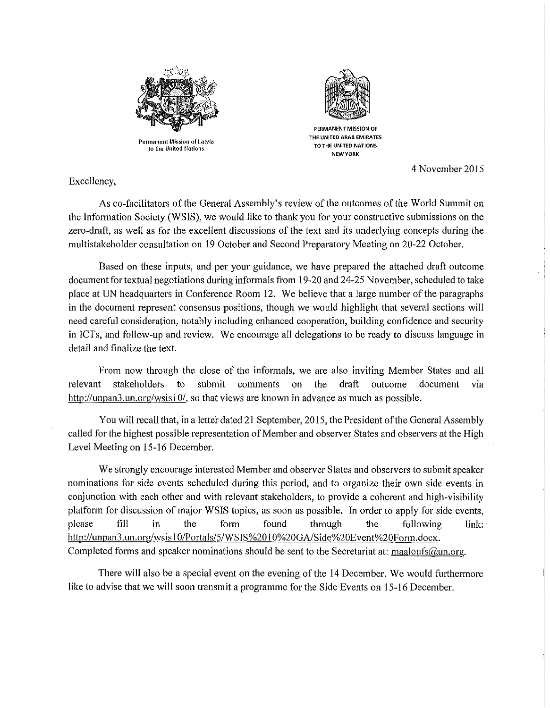

Permanent Mission of **Latvia to the United Notions** 



**PERMANENT MISSION OF THE UNITED ARAB EMIRATES lOTHE UNITED NATIONS NEW YORK** 

4 November 2015

Excellency,

As co-facilitators of the General Assembly's review of the outcomes of the World Summit on the Information Society (WSIS), we would like to thank you for your constructive submissions on the zero-draft, as well as for the excellent discussions of the text and its underlying concepts during the multi stakeholder consultation on 19 October and Second Preparatory Meeting on 20-22 October.

Based on these inputs, and per your guidance, we have prepared the attached draft outcome document for textual negotiations during informals from 19-20 and 24-25 November, scheduled to take place at UN headquarters in Conference Room 12. We believe that a large number of the paragraphs in the document represent consensus positions, though we would highlight that several sections will need careful consideration, notably including enhanced cooperation, building confidence and security in lCTs, and follow-up and review. We encourage all delegations to be ready to discuss language in detail and finalize the text.

From now through the close of the informals, we are also inviting Member States and all relevant stakeholders to submit comments on the draft outcome document Via http://unpan3.un.org/wsisI0/, so that views are known in advance as much as possible.

You will recall that, in a letter dated 21 September, 2015, the President of the General Assembly called for the highest possible representation of Member and observer States and observers at the High Level Meeting on 15-16 December.

We strongly encourage interested Member and observer States and observers to submit speaker nominations for side events scheduled during this period, and to organize their own side events in conjunction with each other and with relevant stakeholders, to provide a coherent and high-visibility platform for discussion of major WSIS topics, as soon as possible. In order to apply for side events, please fill in the form found through the following link: http://unpan3.un.org/wsisl 0/Portals/5/WSIS%201 0%20GA/Side%20Event%20Fonn.docx. Completed forms and speaker nominations should be sent to the Secretariat at: maaloufs@un.org.

There will also be a special event on the evening of the 14 December. We would furthermore like to advise that we will soon transmit a programme for the Side Events on 15-16 December.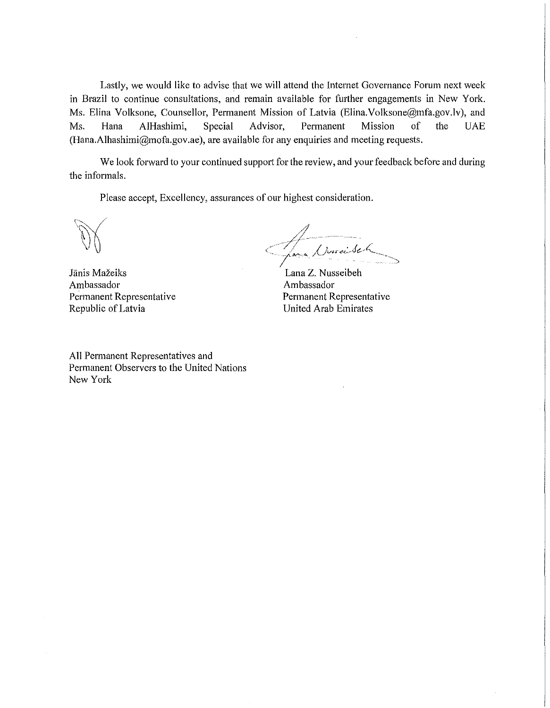Lastly, we would like to advise that we will attend the Internet Governance Forum next week in Brazil to continue consultations, and remain available for further engagements in New York. Ms. Elina Volksone, Counsellor, Permanent Mission of Latvia (Elina.Volksone@mfa.gov.lv), and Ms. Hana AIHashimi, Special Advisor, Permanent Mission of the UAE (Hana.Alhashimi@mofa.gov.ae), are available for any enquiries and meeting requests.

We look forward to your continued support for the review, and your feedback before and during the informals.

Please accept, Excellency, assurances of our highest consideration.

Jānis Mažeiks Ambassador Permanent Representative Republic of Latvia

1 / Noroisek "."-- ~

Lana Z. Nusseibeh Ambassador Permanent Representative United Arab Emirates

All Permanent Representatives and Permanent Observers to the United Nations New York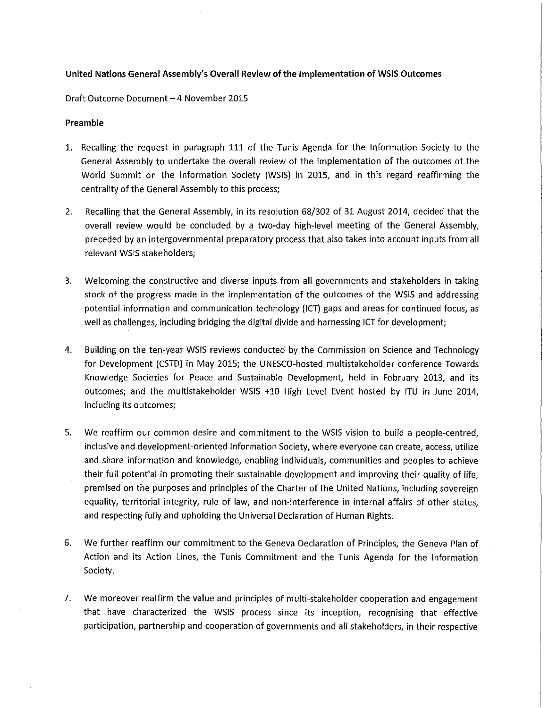### United Nations General Assembly's Overall Review of the Implementation of WSIS Outcomes

Draft Outcome Document - 4 November 2015

### Preamble

- 1. Recalling the request in paragraph 111 of the Tunis Agenda for the Information Society to the General Assembly to undertake the overall review of the implementation of the outcomes of the World Summit on the Information Society (WSIS) in 2015, and in this regard reaffirming the centrality of the General Assembly to this process;
- 2. Recalling that the General Assembly, in its resolution 68/302 of 31 August 2014, decided that the overall review would be concluded by a two-day high-level meeting of the General Assembly, preceded by an intergovernmental preparatory process that also takes into account inputs from all relevant WSIS stakeholders;
- 3. Welcoming the constructive and diverse inputs from all governments and stakeholders in taking stock of the progress made in the implementation of the outcomes of the WSIS and addressing potential information and communication technology (ICT) gaps and areas for continued focus, as well as challenges, including bridging the digital divide and harnessing ICT for development;
- 4. Building on the ten-year WSIS reviews conducted by the Commission on Science and Technology for Development (CSTD) in May 2015; the UNESCO-hosted multistakeholder conference Towards Knowledge Societies for Peace and Sustainable Development, held in February 2013, and its outcomes; and the multistakeholder WSIS +10 High Level Event hosted by ITU in June 2014, including its outcomes;
- 5. We reaffirm our common desire and commitment to the WSIS vision to build a people-centred, inclusive and development-oriented Information Society, where everyone can create, access, utilize and share information and knowledge, enabling individuals, communities and peoples to achieve their full potential in promoting their sustainable development and improving their quality of life, premised on the purposes and principles of the Charter of the United Nations, including sovereign equality, territorial integrity, rule of law, and non-interference in internal affairs of other states, and respecting fully and upholding the Universal Declaration of Human Rights.
- 6. We further reaffirm our commitment to the Geneva Declaration of Principles, the Geneva Plan of Action and its Action Lines, the Tunis Commitment and the Tunis Agenda for the Information Society.
- 7. We moreover reaffirm the value and principles of multi-stakeholder cooperation and engagement that have characterized the WSIS process since its inception, recognising that effective participation, partnership and cooperation of governments and all stakeholders, in their respective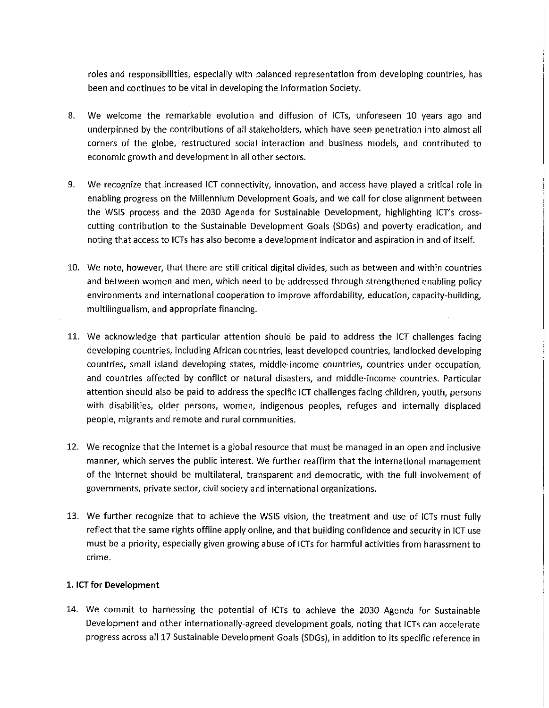roles and responsibilities, especially with balanced representation from developing countries, has been and continues to be vital in developing the Information Society.

- 8. We welcome the remarkable evolution and diffusion of ICTs, unforeseen 10 years ago and underpinned by the contributions of all stakeholders, which have seen penetration into almost all corners of the globe, restructured social interaction and business models, and contributed to economic growth and development in all other sectors.
- 9. We recognize that increased ICT connectivity, innovation, and access have played a critical role in enabling progress on the Millennium Development Goals, and we call for close alignment between the WSIS process and the 2030 Agenda for Sustainable Development, highlighting ICT's crosscutting contribution to the Sustainable Development Goals (SDGs) and poverty eradication, and noting that access to ICTs has also become a development indicator and aspiration in and of itself.
- 10. We note, however, that there are still critical digital divides, such as between and within countries and between women and men, which need to be addressed through strengthened enabling policy environments and international cooperation to improve affordability, education, capacity-building, multilingualism, and appropriate financing.
- 11. We acknowledge that particular attention should be paid to address the ICT challenges facing developing countries, including African countries, least developed countries, landlocked developing countries, small island developing states, middle-income countries, countries under occupation, and countries affected by conflict or natural disasters, and middle-income countries. Particular attention should also be paid to address the specific ICT challenges facing children, youth, persons with disabilities, older persons, women, indigenous peoples, refuges and internally displaced people, migrants and remote and rural communities.
- 12. We recognize that the Internet is a global resource that must be managed in an open and inclusive manner, which serves the public interest. We further reaffirm that the international management of the Internet should be multilateral, transparent and democratic, with the full involvement of governments, private sector, civil society and international organizations.
- 13. We further recognize that to achieve the WSIS vision, the treatment and use of ICTs must fully reflect that the same rights offline apply online, and that building confidence and security in ICT use must be a priority, especially given growing abuse of ICTs for harmful activities from harassment to crime.

# 1. ICT for Development

14. We commit to harnessing the potential of ICTs to achieve the 2030 Agenda for Sustainable Development and other internationally-agreed development goals, noting that ICTs can accelerate progress across all 17 Sustainable Development Goals (SDGs), in addition to its specific reference in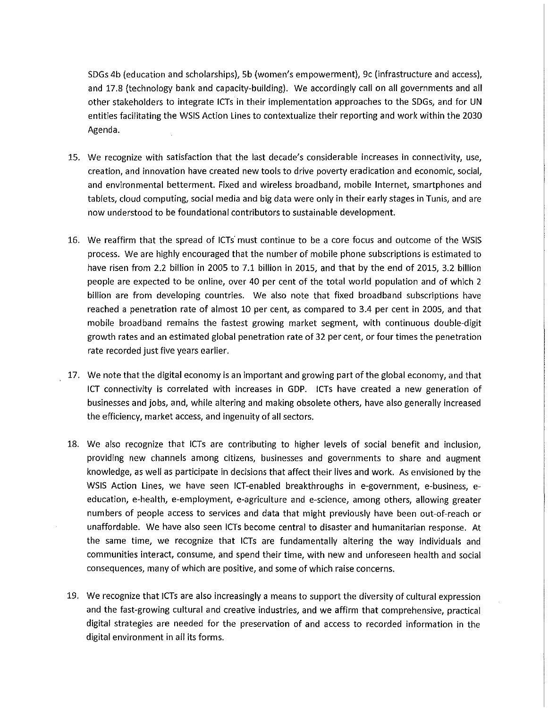SOGs 4b (education and scholarships), 5b (women's empowerment), 9c (infrastructure and access), and 17.8 (technology bank and capacity-building). We accordingly call on all governments and all other stakeholders to integrate ICTs in their implementation approaches to the SDGs, and for UN entities facilitating the WSIS Action Lines to contextualize their reporting and work within the 2030 Agenda.

- 15. We recognize with satisfaction that the last decade's considerable increases in connectivity, use, creation, and innovation have created new tools to drive poverty eradication and economic, social, and environmental betterment. Fixed and wireless broadband, mobile Internet, smartphones and tablets, cloud computing, social media and big data were only in their early stages in Tunis, and are now understood to be foundational contributors to sustainable development.
- 16. We reaffirm that the spread of ICTs' must continue to be a core focus and outcome of the WSIS process. We are highly encouraged that the number of mobile phone subscriptions is estimated to have risen from 2.2 billion in 2005 to 7.1 billion in 2015, and that by the end of 2015, 3.2 billion people are expected to be online, over 40 per cent of the total world population and of which 2 billion are from developing countries. We also note that fixed broadband subscriptions have reached a penetration rate of almost 10 per cent, as compared to 3.4 per cent in 2005, and that mobile broadband remains the fastest growing market segment, with continuous double-digit growth rates and an estimated global penetration rate of 32 per cent, or four times the penetration rate recorded just five years earlier.
- 17. We note that the digital economy is an important and growing part of the global economy, and that ICT connectivity is correlated with increases in GOP. ICTs have created a new generation of businesses and jobs, and, while altering and making obsolete others, have also generally increased the efficiency, market access, and ingenuity of all sectors.
- 18. We also recognize that ICTs are contributing to higher levels of social benefit and inclusion, providing new channels among citizens, businesses and governments to share and augment knowledge, as well as participate in decisions that affect their lives and work. As envisioned by the WSIS Action Lines, we have seen ICT-enabled breakthroughs in e-government, e-business, eeducation, e-health, e-employment, e-agriculture and e-science, among others, allowing greater numbers of people access to services and data that might previously have been out-of-reach or unaffordable. We have also seen ICTs become central to disaster and humanitarian response. At the same time, we recognize that ICTs are fundamentally altering the way individuals and communities interact, consume, and spend their time, with new and unforeseen health and social consequences, many of which are positive, and some of which raise concerns.
- 19. We recognize that ICTs are also increasingly a means to support the diversity of cultural expression and the fast-growing cultural and creative industries, and we affirm that comprehensive, practical digital strategies are needed for the preservation of and access to recorded information in the digital environment in all its forms.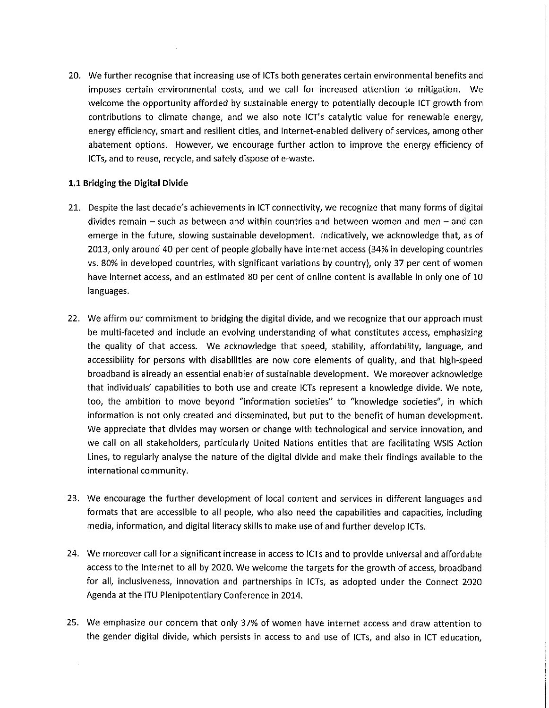20. We further recognise that increasing use of ICTs both generates certain environmental benefits and imposes certain environmental costs, and we call for increased attention to mitigation. We welcome the opportunity afforded by sustainable energy to potentially decouple ICT growth from contributions to climate change, and we also note ICT's catalytic value for renewable energy, energy efficiency, smart and resilient cities, and Internet-enabled delivery of services, among other abatement options. However, we encourage further action to improve the energy efficiency of ICTs, and to reuse, recycle, and safely dispose of e-waste.

# **1.1** Bridging the Digital Divide

- 21. Despite the last decade's achievements in ICT connectivity, we recognize that many forms of digital divides remain  $-$  such as between and within countries and between women and men  $-$  and can emerge in the future, slowing sustainable development. Indicatively, we acknowledge that, as of 2013, only around 40 per cent of people globally have internet access (34% in developing countries vs. 80% in developed countries, with significant variations by country), only 37 per cent of women have internet access, and an estimated 80 per cent of online content is available in only one of 10 languages.
- 22. We affirm our commitment to bridging the digital divide, and we recognize that our approach must be multi-faceted and include an evolving understanding of what constitutes access, emphasizing the quality of that access. We acknowledge that speed, stability, affordability, language, and accessibility for persons with disabilities are now core elements of quality, and that high-speed broadband is already an essential enabler of sustainable development. We moreover acknowledge that individuals' capabilities to both use and create ICTs represent a knowledge divide. We note, too, the ambition to move beyond "information societies" to "knowledge societies", in which information is not only created and disseminated, but put to the benefit of human development. We appreciate that divides may worsen or change with technological and service innovation, and we call on all stakeholders, particularly United Nations entities that are facilitating WSIS Action Lines, to regularly analyse the nature of the digital divide and make their findings available to the international community.
- 23. We encourage the further development of local content and services in different languages and formats that are accessible to all people, who also need the capabilities and capacities, including media, information, and digital literacy skills to make use of and further develop ICTs.
- 24. We moreover call for a significant increase in access to ICTs and to provide universal and affordable access to the Internet to all by 2020. We welcome the targets for the growth of access, broadband for all, inclusiveness, innovation and partnerships in ICTs, as adopted under the Connect 2020 Agenda at the ITU Plenipotentiary Conference in 2014.
- 25. We emphasize our concern that only 37% of women have internet access and draw attention to the gender digital divide, which persists in access to and use of ICTs, and also in ICT education,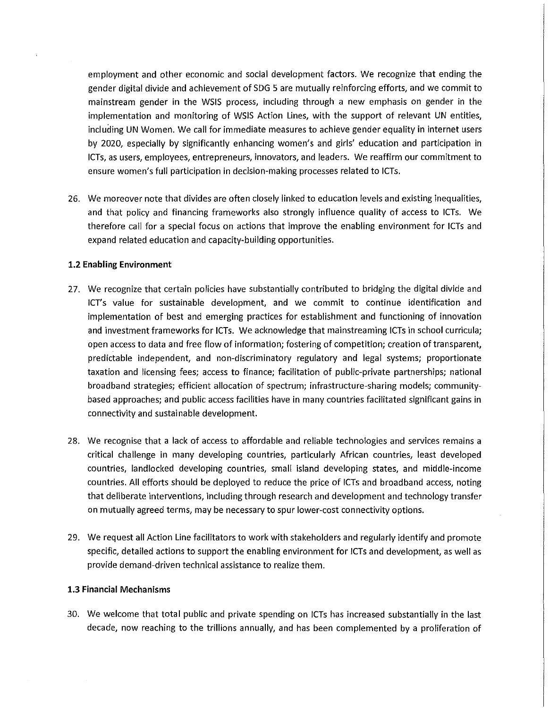employment and other economic and social development factors. We recognize that ending the gender digital divide and achievement of SDG 5 are mutually reinforcing efforts, and we commit to mainstream gender in the WSIS process, including through a new emphasis on gender in the implementation and monitoring of WSIS Action Lines, with the support of relevant UN entities, including UN Women. We call for immediate measures to achieve gender equality in internet users by 2020, especially by significantly enhancing women's and girls' education and participation in ICTs, as users, employees, entrepreneurs, innovators, and leaders. We reaffirm our commitment to ensure women's full participation in decision-making processes related to ICTs.

26. We moreover note that divides are often closely linked to education levels and existing inequalities, and that policy and financing frameworks also strongly influence quality of access to ICTs. We therefore call for a special focus on actions that improve the enabling environment for ICTs and expand related education and capacity-building opportunities.

#### 1.2 **Enabling** Environment

- 27. We recognize that certain policies have substantially contributed to bridging the digital divide and ICT's value for sustainable development, and we commit to continue identification and implementation of best and emerging practices for establishment and functioning of innovation and investment frameworks for ICTs. We acknowledge that mainstreaming ICTs in school curricula; open access to data and free flow of information; fostering of competition; creation of transparent, predictable independent, and non-discriminatory regulatory and legal systems; proportionate taxation and licensing fees; access to finance; facilitation of public-private partnerships; national broadband strategies; efficient allocation of spectrum; infrastructure-sharing models; communitybased approaches; and public access facilities have in many countries facilitated significant gains in connectivity and sustainable development.
- 28. We recognise that a lack of access to affordable and reliable technologies and services remains a critical challenge in many developing countries, particularly African countries, least developed countries, landlocked developing countries, small island developing states, and middle-income countries. All efforts should be deployed to reduce the price of ICTs and broadband access, noting that deliberate interventions, including through research and development and technology transfer on mutually agreed terms, may be necessary to spur lower-cost connectivity options.
- 29. We request all Action Line facilitators to work with stakeholders and regularly identify and promote specific, detailed actions to support the enabling environment for ICTs and development, as well as provide demand-driven technical assistance to realize them.

#### 1.3 Financial Mechanisms

30. We welcome that total public and private spending on ICTs has increased substantially in the last decade, now reaching to the trillions annually, and has been complemented by a proliferation of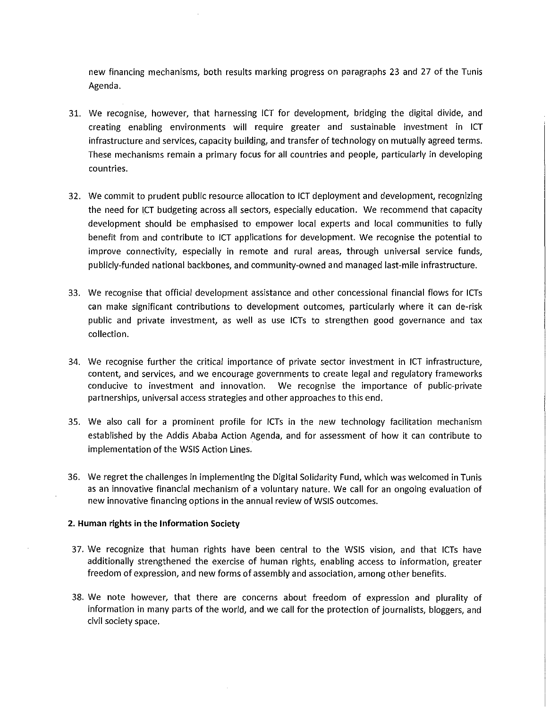new financing mechanisms, both results marking progress on paragraphs 23 and 27 of the Tunis Agenda.

- 31. We recognise, however, that harnessing ICT for development, bridging the digital divide, and creating enabling environments will require greater and sustainable investment in leT infrastructure and *services,* capacity building, and transfer of technology on mutually agreed terms. These mechanisms remain a primary focus for all countries and people, particularly in developing countries.
- 32. We commit to prudent public resource allocation to ICT deployment and development, recognizing the need for ICT budgeting across all sectors, especially education. We recommend that capacity development should be emphasised to empower local experts and local communities to fully benefit from and contribute to ICT applications for development. We recognise the potential to improve connectivity, especially in remote and rural areas, through universal service funds, publicly-funded national backbones, and community-owned and managed last-mile infrastructure.
- 33. We recognise that official development assistance and other concessional financial flows for ICTs can make significant contributions to development outcomes, particularly where it can de-risk public and private investment, as well as use leTs to strengthen good *governance* and tax collection.
- 34. We recognise further the critical importance of private sector investment in ICT infrastructure, content, and *services,* and we encourage *governments* to create legal and regulatory frameworks *conducive* to investment and innovation. We recognise the importance of public-private partnerships, universal access strategies and other approaches to this end.
- 35. We also call for a prominent profile for ICTs in the new technology facilitation mechanism established by the Addis Ababa Action Agenda, and for assessment of how it can contribute to implementation of the WSIS Action Lines.
- 36. We regret the challenges in implementing the Digital Solidarity Fund, which was welcomed in Tunis as an innovative financial mechanism of a voluntary nature. We call for an ongoing evaluation of new innovative financing options in the annual *review* ofWSIS outcomes.

#### 2. Human rights in **the** Information Society

- 37. We recognize that human rights have been central to the WSIS *vision,* and that ICTs have additionally strengthened the exercise of human rights, enabling access to information, greater freedom of expression, and new forms of assembly and association, among other benefits.
- 38. We note *however,* that there are concerns about freedom of expression and plurality of information in many parts of the world, and we call for the protection of journalists, bloggers, and civil society space.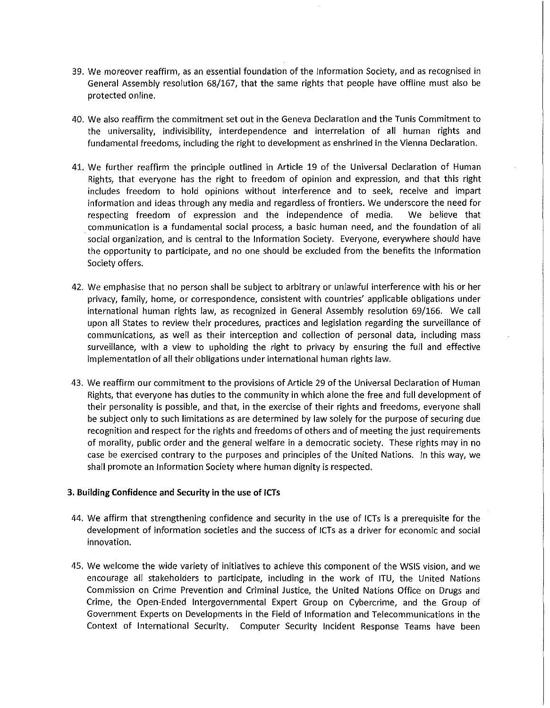- 39. We moreover reaffirm, as an essential foundation of the Information Society, and as recognised in General Assembly resolution 68/167, that the same rights that people have offline must also be protected online.
- 40. We also reaffirm the commitment set out in the Geneva Declaration and the Tunis Commitment to the universality, indivisibility, interdependence and interrelation of all human rights and fundamental freedoms, including the right to development as enshrined in the Vienna Declaration.
- 41. We further reaffirm the principle outlined in Article 19 of the Universal Declaration of Human Rights, that everyone has the right to freedom of opinion and expression, and that this right includes freedom to hold opinions without interference and to seek, receive and impart information and ideas through any media and regardless of frontiers. We underscore the need for respecting freedom of expression and the independence of media. We believe that . communication is a fundamental social process, a basic human need, and the foundation of all social organization, and is central to the Information Society. Everyone, everywhere should have the opportunity to participate, and no one should be excluded from the benefits the Information Society offers.
- 42. We emphasise that no person shall be subject to arbitrary or unlawful interference with his or her privacy, family, home, or correspondence, consistent with countries' applicable obligations under international human rights law, as recognized in General Assembly resolution 69/166. We call upon all States to review their procedures, practices and legislation regarding the surveillance of communications, as well as their interception and collection of personal data, including mass surveillance, with a view to upholding the right to privacy by ensuring the full and effective implementation of all their obligations under international human rights law.
- 43. We reaffirm our commitment to the provisions of Article 29 of the Universal Declaration of Human Rights, that everyone has duties to the community in which alone the free and full development of their personality is possible, and that, in the exercise of their rights and freedoms, everyone shall be subject only to such limitations as are determined by law solely for the purpose of securing due recognition and respect for the rights and freedoms of others and of meeting the just requirements of morality, public order and the general welfare in a democratic society. These rights may in no case be exercised contrary to the purposes and principles of the United Nations. In this way, we shall promote an Information Society where human dignity is respected.

#### 3. Building Confidence and Security in the use of ICTs

- 44. We affirm that strengthening confidence and security in the use of ICTs is a prerequisite for the development of information societies and the success of ICTs as a driver for economic and social innovation.
- 45. We welcome the wide variety of initiatives to achieve this component of the WSIS vision, and we encourage all stakeholders to participate, including in the work of ITU, the United Nations Commission on Crime Prevention and Criminal Justice, the United Nations Office on Drugs and Crime, the Open-Ended Intergovernmental Expert Group on Cybercrime, and the Group of Government Experts on Developments in the Field of Information and Telecommunications in the Context of International Security. Computer Security Incident Response Teams have been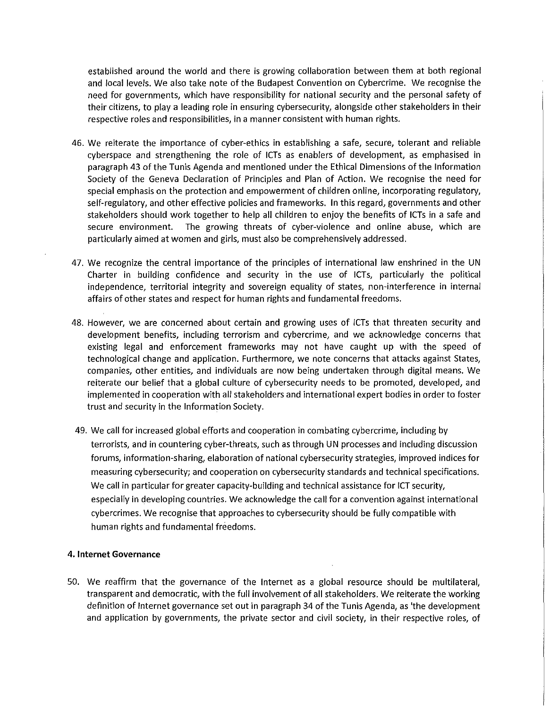established around the world and there is growing collaboration between them at both regional and local levels. We also take note of the Budapest Convention on Cybercrime. We recognise the need for governments, which have responsibility for national security and the personal safety of their citizens, to playa leading role in ensuring cybersecurity, alongside other stakeholders in their respective roles and responsibilities, in a manner consistent with human rights.

- 46. We reiterate the importance of cyber-ethics in establishing a safe, secure, tolerant and reliable cyberspace and strengthening the role of ICTs as enablers of development, as emphasised in paragraph 43 of the Tunis Agenda and mentioned under the Ethical Dimensions of the Information Society of the Geneva Declaration of Principles and Plan of Action. We recognise the need for special emphasis on the protection and empowerment of children online, incorporating regulatory, self-regulatory, and other effective policies and frameworks. In this regard, governments and other stakeholders should work together to help all children to enjoy the benefits of ICTs in a safe and secure environment. The growing threats of cyber-violence and online abuse, which are particularly aimed at women and girls, must also be comprehensively addressed.
- 47. We recognize the central importance of the principles of international law enshrined in the UN Charter in building confidence and security in the use of ICTs, particularly the political independence, territorial integrity and sovereign equality of states, non-interference in internal affairs of other states and respect for human rights and fundamental freedoms.
- 48. However, we are concerned about certain and growing uses of ICTs that threaten security and development benefits, including terrorism and cybercrime, and we acknowledge concerns that existing legal and enforcement frameworks may not have caught up with the speed of technological change and application. Furthermore, we note concerns that attacks against States, companies, other entities, and individuals are now being undertaken through digital means. We reiterate our belief that a global culture of cybersecurity needs to be promoted, developed, and implemented in cooperation with all stakeholders and international expert bodies in order to foster trust and security in the Information Society.
- 49. We call for increased global efforts and cooperation in combating cybercrime, including by terrorists, and in countering cyber-threats, such as through UN processes and including discussion forums, information-sharing, elaboration of national cybersecurity strategies, improved indices for measuring cybersecurity; and cooperation on cybersecurity standards and technical specifications. We call in particular for greater capacity-building and technical assistance for ICT security, especially in developing countries. We acknowledge the call for a convention against international cybercrimes. We recognise that approaches to cybersecurity should be fully compatible with human rights and fundamental freedoms.

#### 4. Internet Governance

50. We reaffirm that the governance of the Internet as a global resource should be multilateral, transparent and democratic, with the full involvement of all stakeholders. We reiterate the working definition of Internet governance set out in paragraph 34 of the Tunis Agenda, as 'the development and application by governments, the private sector and civil society, in their respective roles, of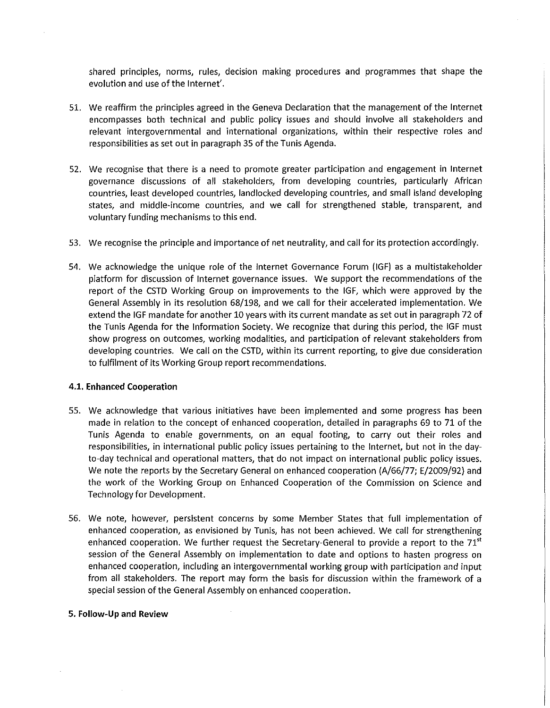shared principles, norms, rules, decision making procedures and programmes that shape the evolution and use of the Internet'.

- 51. We reaffirm the principles agreed in the Geneva Declaration that the management of the Internet encompasses both technical and public policy issues and should involve all stakeholders and relevant intergovernmental and international organizations, within their respective roles and responsibilities as set out in paragraph 35 of the Tunis Agenda.
- 52. We recognise that there is a need to promote greater participation and engagement in Internet governance discussions of all stakeholders, from developing countries, particularly African countries, least developed countries, landlocked developing countries, and small island developing states, and middle-income countries, and we call for strengthened stable, transparent, and voluntary funding mechanisms to this end.
- 53. We recognise the principle and importance of net neutrality, and call for its protection accordingly.
- 54. We acknowledge the unique role of the Internet Governance Forum (IGF) as a multistakeholder platform for discussion of Internet governance issues. We support the recommendations of the report of the CSTD Working Group on improvements to the IGF, which were approved by the General Assembly in its resolution 68/198, and we call for their accelerated implementation. We extend the IGF mandate for another 10 years with its current mandate as set out in paragraph 72 of the Tunis Agenda for the Information Society. We recognize that during this period, the IGF must show progress on outcomes, working modalities, and participation of relevant stakeholders from developing countries. We call on the CSTD, within its current reporting, to give due consideration to fulfilment of its Working Group report recommendations.

#### 4.1. Enhanced Cooperation

- 55. We acknowledge that various initiatives have been implemented and some progress has been made in relation to the concept of enhanced cooperation, detailed in paragraphs 69 to 71 of the Tunis Agenda to enable governments, on an equal footing, to carry out their roles and responsibilities, in international public policy issues pertaining to the Internet, but not in the dayto-day technical and operational matters, that do not impact on international public policy issues. We note the reports by the Secretary General on enhanced cooperation (A/66/77; E/2009/92) and the work of the Working Group on Enhanced Cooperation of the Commission on Science and Technology for Development.
- 56. We note, however, persistent concerns by some Member States that full implementation of enhanced cooperation, as envisioned by Tunis, has not been achieved. We call for strengthening enhanced cooperation. We further request the Secretary-General to provide a report to the  $71<sup>st</sup>$ session of the General Assembly on implementation to date and options to hasten progress on enhanced cooperation, including an intergovernmental working group with participation and input from all stakeholders. The report may form the basis for discussion within the framework of a special session of the General Assembly on enhanced cooperation.

#### 5. Follow-Up and Review